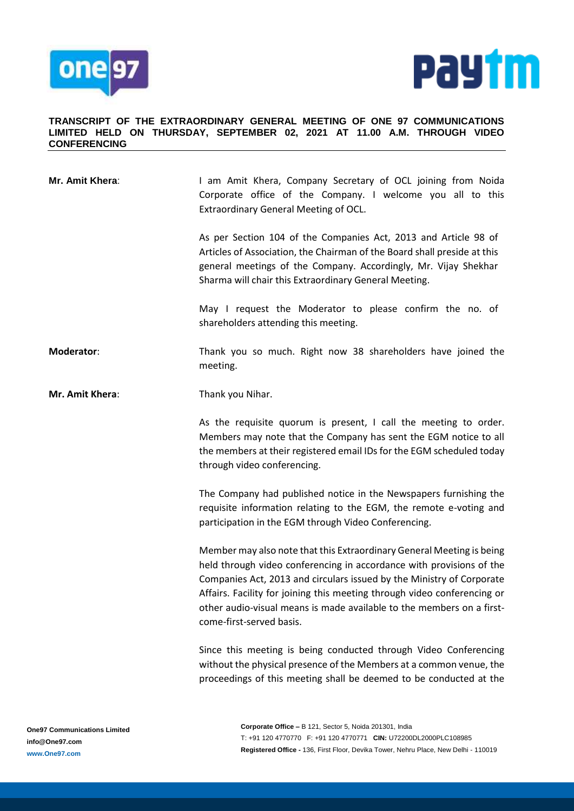



## **TRANSCRIPT OF THE EXTRAORDINARY GENERAL MEETING OF ONE 97 COMMUNICATIONS LIMITED HELD ON THURSDAY, SEPTEMBER 02, 2021 AT 11.00 A.M. THROUGH VIDEO CONFERENCING**

| Mr. Amit Khera: | I am Amit Khera, Company Secretary of OCL joining from Noida<br>Corporate office of the Company. I welcome you all to this<br>Extraordinary General Meeting of OCL.                                                                                                                                                                                                                                     |
|-----------------|---------------------------------------------------------------------------------------------------------------------------------------------------------------------------------------------------------------------------------------------------------------------------------------------------------------------------------------------------------------------------------------------------------|
|                 | As per Section 104 of the Companies Act, 2013 and Article 98 of<br>Articles of Association, the Chairman of the Board shall preside at this<br>general meetings of the Company. Accordingly, Mr. Vijay Shekhar<br>Sharma will chair this Extraordinary General Meeting.                                                                                                                                 |
|                 | May I request the Moderator to please confirm the no. of<br>shareholders attending this meeting.                                                                                                                                                                                                                                                                                                        |
| Moderator:      | Thank you so much. Right now 38 shareholders have joined the<br>meeting.                                                                                                                                                                                                                                                                                                                                |
| Mr. Amit Khera: | Thank you Nihar.                                                                                                                                                                                                                                                                                                                                                                                        |
|                 | As the requisite quorum is present, I call the meeting to order.<br>Members may note that the Company has sent the EGM notice to all<br>the members at their registered email IDs for the EGM scheduled today<br>through video conferencing.                                                                                                                                                            |
|                 | The Company had published notice in the Newspapers furnishing the<br>requisite information relating to the EGM, the remote e-voting and<br>participation in the EGM through Video Conferencing.                                                                                                                                                                                                         |
|                 | Member may also note that this Extraordinary General Meeting is being<br>held through video conferencing in accordance with provisions of the<br>Companies Act, 2013 and circulars issued by the Ministry of Corporate<br>Affairs. Facility for joining this meeting through video conferencing or<br>other audio-visual means is made available to the members on a first-<br>come-first-served basis. |
|                 | Since this meeting is being conducted through Video Conferencing<br>without the physical presence of the Members at a common venue, the<br>proceedings of this meeting shall be deemed to be conducted at the                                                                                                                                                                                           |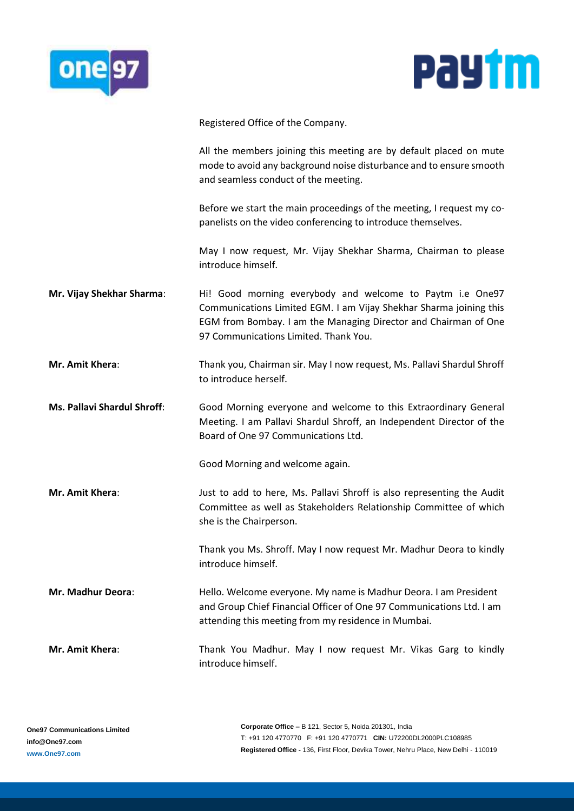



Registered Office of the Company.

All the members joining this meeting are by default placed on mute mode to avoid any background noise disturbance and to ensure smooth and seamless conduct of the meeting.

Before we start the main proceedings of the meeting, I request my copanelists on the video conferencing to introduce themselves.

May I now request, Mr. Vijay Shekhar Sharma, Chairman to please introduce himself.

- **Mr. Vijay Shekhar Sharma:** Hi! Good morning everybody and welcome to Paytm i.e One97 Communications Limited EGM. I am Vijay Shekhar Sharma joining this EGM from Bombay. I am the Managing Director and Chairman of One 97 Communications Limited. Thank You.
- **Mr. Amit Khera**: Thank you, Chairman sir. May I now request, Ms. Pallavi Shardul Shroff to introduce herself.
- **Ms. Pallavi Shardul Shroff**: Good Morning everyone and welcome to this Extraordinary General Meeting. I am Pallavi Shardul Shroff, an Independent Director of the Board of One 97 Communications Ltd.

Good Morning and welcome again.

**Mr. Amit Khera:** Just to add to here, Ms. Pallavi Shroff is also representing the Audit Committee as well as Stakeholders Relationship Committee of which she is the Chairperson.

> Thank you Ms. Shroff. May I now request Mr. Madhur Deora to kindly introduce himself.

**Mr. Madhur Deora**: Hello. Welcome everyone. My name is Madhur Deora. I am President and Group Chief Financial Officer of One 97 Communications Ltd. I am attending this meeting from my residence in Mumbai.

**Mr. Amit Khera:** Thank You Madhur. May I now request Mr. Vikas Garg to kindly introduce himself.

**Corporate Office –** B 121, Sector 5, Noida 201301, India T: +91 120 4770770 F: +91 120 4770771 **CIN:** U72200DL2000PLC108985 **Registered Office -** 136, First Floor, Devika Tower, Nehru Place, New Delhi - 110019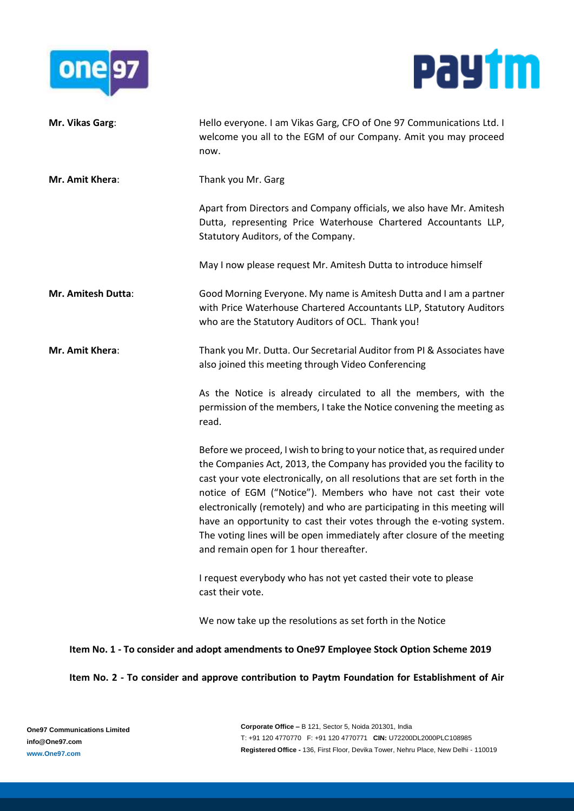



| Mr. Vikas Garg:                                                                          | Hello everyone. I am Vikas Garg, CFO of One 97 Communications Ltd. I<br>welcome you all to the EGM of our Company. Amit you may proceed<br>now.                                                                                                                                                                                                                                                                                                                                                                                                                             |
|------------------------------------------------------------------------------------------|-----------------------------------------------------------------------------------------------------------------------------------------------------------------------------------------------------------------------------------------------------------------------------------------------------------------------------------------------------------------------------------------------------------------------------------------------------------------------------------------------------------------------------------------------------------------------------|
| Mr. Amit Khera:                                                                          | Thank you Mr. Garg                                                                                                                                                                                                                                                                                                                                                                                                                                                                                                                                                          |
|                                                                                          | Apart from Directors and Company officials, we also have Mr. Amitesh<br>Dutta, representing Price Waterhouse Chartered Accountants LLP,<br>Statutory Auditors, of the Company.                                                                                                                                                                                                                                                                                                                                                                                              |
|                                                                                          | May I now please request Mr. Amitesh Dutta to introduce himself                                                                                                                                                                                                                                                                                                                                                                                                                                                                                                             |
| Mr. Amitesh Dutta:                                                                       | Good Morning Everyone. My name is Amitesh Dutta and I am a partner<br>with Price Waterhouse Chartered Accountants LLP, Statutory Auditors<br>who are the Statutory Auditors of OCL. Thank you!                                                                                                                                                                                                                                                                                                                                                                              |
| Mr. Amit Khera:                                                                          | Thank you Mr. Dutta. Our Secretarial Auditor from PI & Associates have<br>also joined this meeting through Video Conferencing                                                                                                                                                                                                                                                                                                                                                                                                                                               |
|                                                                                          | As the Notice is already circulated to all the members, with the<br>permission of the members, I take the Notice convening the meeting as<br>read.                                                                                                                                                                                                                                                                                                                                                                                                                          |
|                                                                                          | Before we proceed, I wish to bring to your notice that, as required under<br>the Companies Act, 2013, the Company has provided you the facility to<br>cast your vote electronically, on all resolutions that are set forth in the<br>notice of EGM ("Notice"). Members who have not cast their vote<br>electronically (remotely) and who are participating in this meeting will<br>have an opportunity to cast their votes through the e-voting system.<br>The voting lines will be open immediately after closure of the meeting<br>and remain open for 1 hour thereafter. |
|                                                                                          | I request everybody who has not yet casted their vote to please<br>cast their vote.                                                                                                                                                                                                                                                                                                                                                                                                                                                                                         |
|                                                                                          | We now take up the resolutions as set forth in the Notice                                                                                                                                                                                                                                                                                                                                                                                                                                                                                                                   |
| Item No. 1 - To consider and adopt amendments to One97 Employee Stock Option Scheme 2019 |                                                                                                                                                                                                                                                                                                                                                                                                                                                                                                                                                                             |

## **Item No. 2 - To consider and approve contribution to Paytm Foundation for Establishment of Air**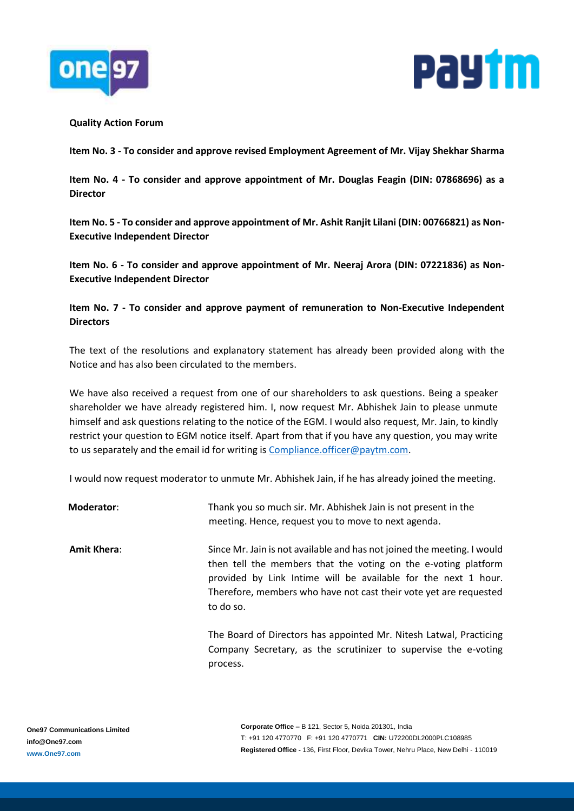



## **Quality Action Forum**

**Item No. 3 - To consider and approve revised Employment Agreement of Mr. Vijay Shekhar Sharma**

**Item No. 4 - To consider and approve appointment of Mr. Douglas Feagin (DIN: 07868696) as a Director**

**Item No. 5 - To consider and approve appointment of Mr. Ashit Ranjit Lilani (DIN: 00766821) as Non-Executive Independent Director**

**Item No. 6 - To consider and approve appointment of Mr. Neeraj Arora (DIN: 07221836) as Non-Executive Independent Director**

**Item No. 7 - To consider and approve payment of remuneration to Non-Executive Independent Directors**

The text of the resolutions and explanatory statement has already been provided along with the Notice and has also been circulated to the members.

We have also received a request from one of our shareholders to ask questions. Being a speaker shareholder we have already registered him. I, now request Mr. Abhishek Jain to please unmute himself and ask questions relating to the notice of the EGM. I would also request, Mr. Jain, to kindly restrict your question to EGM notice itself. Apart from that if you have any question, you may write to us separately and the email id for writing is [Compliance.officer@paytm.com.](mailto:Compliance.officer@paytm.com)

I would now request moderator to unmute Mr. Abhishek Jain, if he has already joined the meeting.

| Moderator:         | Thank you so much sir. Mr. Abhishek Jain is not present in the<br>meeting. Hence, request you to move to next agenda.                                                                                                                                                                         |
|--------------------|-----------------------------------------------------------------------------------------------------------------------------------------------------------------------------------------------------------------------------------------------------------------------------------------------|
| <b>Amit Khera:</b> | Since Mr. Jain is not available and has not joined the meeting. I would<br>then tell the members that the voting on the e-voting platform<br>provided by Link Intime will be available for the next 1 hour.<br>Therefore, members who have not cast their vote yet are requested<br>to do so. |
|                    | The Board of Directors has appointed Mr. Nitesh Latwal, Practicing<br>Company Secretary, as the scrutinizer to supervise the e-voting                                                                                                                                                         |

process.